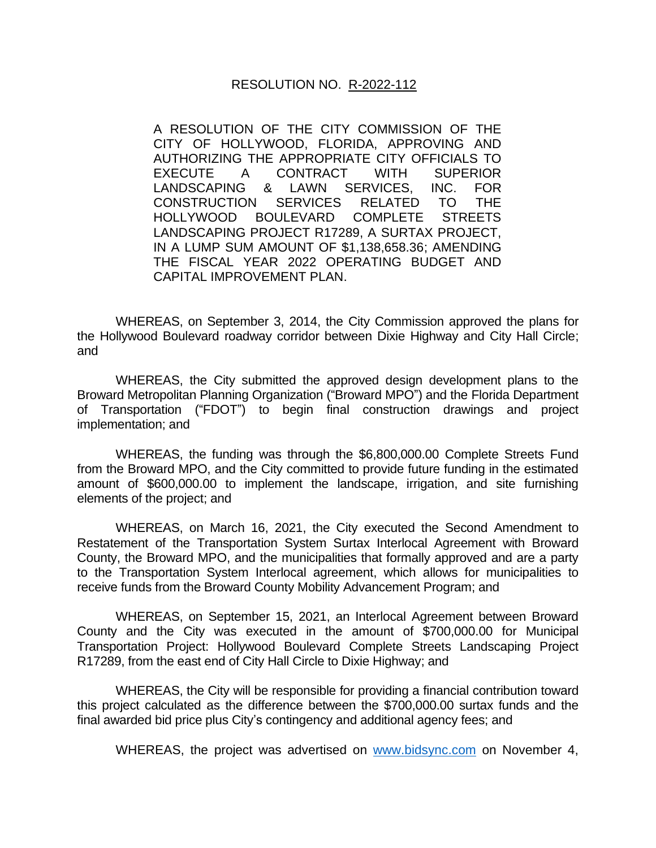## RESOLUTION NO. R-2022-112

A RESOLUTION OF THE CITY COMMISSION OF THE CITY OF HOLLYWOOD, FLORIDA, APPROVING AND AUTHORIZING THE APPROPRIATE CITY OFFICIALS TO EXECUTE A CONTRACT WITH SUPERIOR LANDSCAPING & LAWN SERVICES, INC. FOR CONSTRUCTION SERVICES RELATED TO THE HOLLYWOOD BOULEVARD COMPLETE STREETS LANDSCAPING PROJECT R17289, A SURTAX PROJECT, IN A LUMP SUM AMOUNT OF \$1,138,658.36; AMENDING THE FISCAL YEAR 2022 OPERATING BUDGET AND CAPITAL IMPROVEMENT PLAN.

WHEREAS, on September 3, 2014, the City Commission approved the plans for the Hollywood Boulevard roadway corridor between Dixie Highway and City Hall Circle; and

WHEREAS, the City submitted the approved design development plans to the Broward Metropolitan Planning Organization ("Broward MPO") and the Florida Department of Transportation ("FDOT") to begin final construction drawings and project implementation; and

WHEREAS, the funding was through the \$6,800,000.00 Complete Streets Fund from the Broward MPO, and the City committed to provide future funding in the estimated amount of \$600,000.00 to implement the landscape, irrigation, and site furnishing elements of the project; and

WHEREAS, on March 16, 2021, the City executed the Second Amendment to Restatement of the Transportation System Surtax Interlocal Agreement with Broward County, the Broward MPO, and the municipalities that formally approved and are a party to the Transportation System Interlocal agreement, which allows for municipalities to receive funds from the Broward County Mobility Advancement Program; and

WHEREAS, on September 15, 2021, an Interlocal Agreement between Broward County and the City was executed in the amount of \$700,000.00 for Municipal Transportation Project: Hollywood Boulevard Complete Streets Landscaping Project R17289, from the east end of City Hall Circle to Dixie Highway; and

WHEREAS, the City will be responsible for providing a financial contribution toward this project calculated as the difference between the \$700,000.00 surtax funds and the final awarded bid price plus City's contingency and additional agency fees; and

WHEREAS, the project was advertised on [www.bidsync.com](http://www.bidsync.com/) on November 4,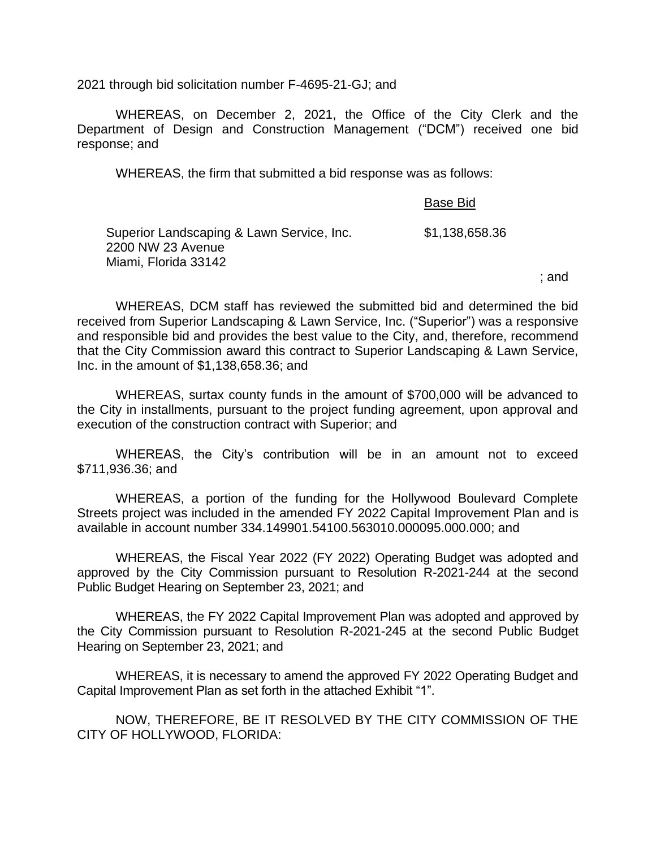2021 through bid solicitation number F-4695-21-GJ; and

WHEREAS, on December 2, 2021, the Office of the City Clerk and the Department of Design and Construction Management ("DCM") received one bid response; and

WHEREAS, the firm that submitted a bid response was as follows:

|                                                                                        | Base Bid       |
|----------------------------------------------------------------------------------------|----------------|
| Superior Landscaping & Lawn Service, Inc.<br>2200 NW 23 Avenue<br>Miami, Florida 33142 | \$1,138,658.36 |
|                                                                                        |                |

; and

WHEREAS, DCM staff has reviewed the submitted bid and determined the bid received from Superior Landscaping & Lawn Service, Inc. ("Superior") was a responsive and responsible bid and provides the best value to the City, and, therefore, recommend that the City Commission award this contract to Superior Landscaping & Lawn Service, Inc. in the amount of \$1,138,658.36; and

WHEREAS, surtax county funds in the amount of \$700,000 will be advanced to the City in installments, pursuant to the project funding agreement, upon approval and execution of the construction contract with Superior; and

WHEREAS, the City's contribution will be in an amount not to exceed \$711,936.36; and

WHEREAS, a portion of the funding for the Hollywood Boulevard Complete Streets project was included in the amended FY 2022 Capital Improvement Plan and is available in account number 334.149901.54100.563010.000095.000.000; and

WHEREAS, the Fiscal Year 2022 (FY 2022) Operating Budget was adopted and approved by the City Commission pursuant to Resolution R-2021-244 at the second Public Budget Hearing on September 23, 2021; and

WHEREAS, the FY 2022 Capital Improvement Plan was adopted and approved by the City Commission pursuant to Resolution R-2021-245 at the second Public Budget Hearing on September 23, 2021; and

WHEREAS, it is necessary to amend the approved FY 2022 Operating Budget and Capital Improvement Plan as set forth in the attached Exhibit "1".

NOW, THEREFORE, BE IT RESOLVED BY THE CITY COMMISSION OF THE CITY OF HOLLYWOOD, FLORIDA: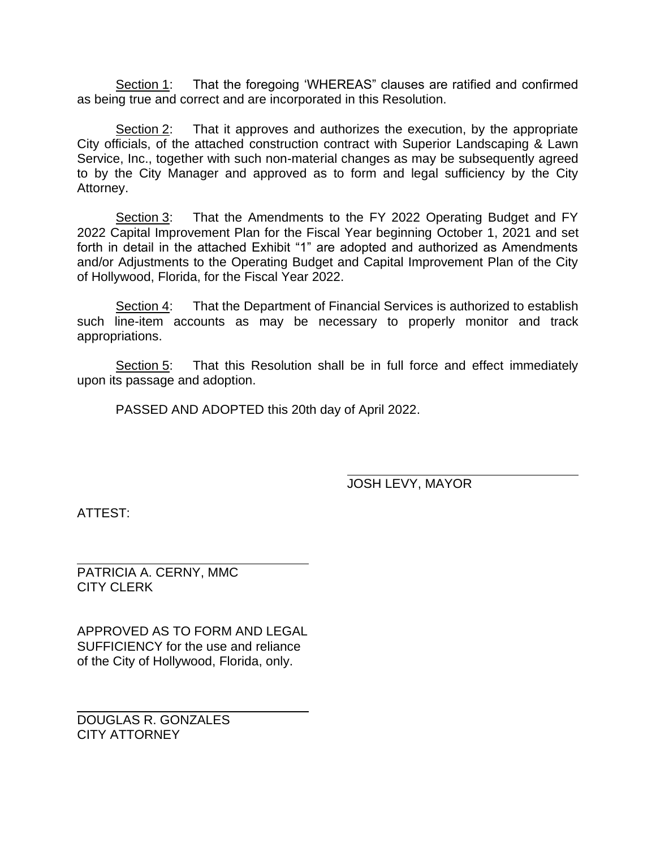Section 1: That the foregoing 'WHEREAS" clauses are ratified and confirmed as being true and correct and are incorporated in this Resolution.

Section 2: That it approves and authorizes the execution, by the appropriate City officials, of the attached construction contract with Superior Landscaping & Lawn Service, Inc., together with such non-material changes as may be subsequently agreed to by the City Manager and approved as to form and legal sufficiency by the City Attorney.

Section 3: That the Amendments to the FY 2022 Operating Budget and FY 2022 Capital Improvement Plan for the Fiscal Year beginning October 1, 2021 and set forth in detail in the attached Exhibit "1" are adopted and authorized as Amendments and/or Adjustments to the Operating Budget and Capital Improvement Plan of the City of Hollywood, Florida, for the Fiscal Year 2022.

Section 4: That the Department of Financial Services is authorized to establish such line-item accounts as may be necessary to properly monitor and track appropriations.

Section 5: That this Resolution shall be in full force and effect immediately upon its passage and adoption.

PASSED AND ADOPTED this 20th day of April 2022.

JOSH LEVY, MAYOR

ATTEST:

PATRICIA A. CERNY, MMC CITY CLERK

APPROVED AS TO FORM AND LEGAL SUFFICIENCY for the use and reliance of the City of Hollywood, Florida, only.

DOUGLAS R. GONZALES CITY ATTORNEY